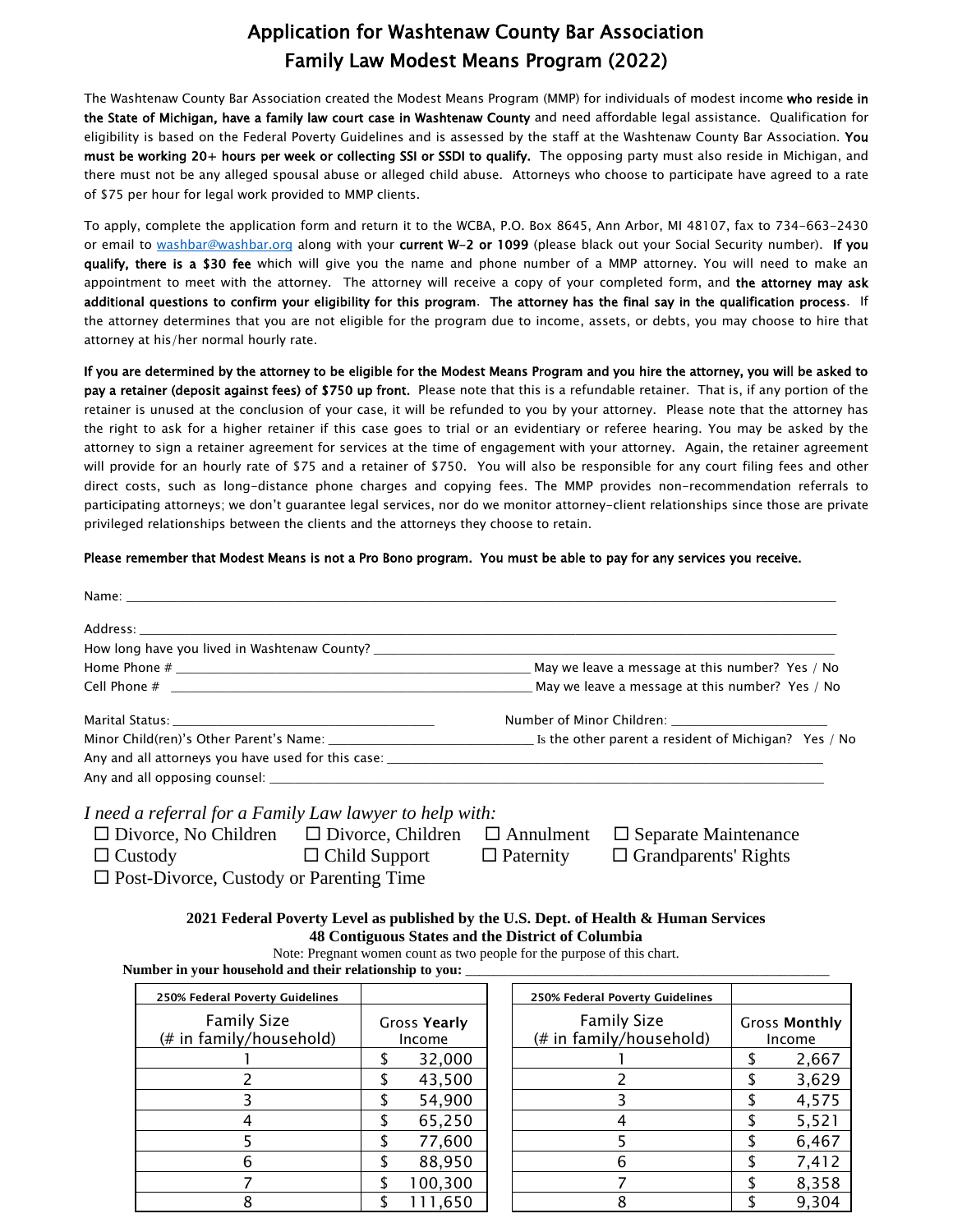## Application for Washtenaw County Bar Association Family Law Modest Means Program (2022)

The Washtenaw County Bar Association created the Modest Means Program (MMP) for individuals of modest income who reside in the State of Michigan, have a family law court case in Washtenaw County and need affordable legal assistance. Qualification for eligibility is based on the Federal Poverty Guidelines and is assessed by the staff at the Washtenaw County Bar Association. You must be working 20+ hours per week or collecting SSI or SSDI to qualify. The opposing party must also reside in Michigan, and there must not be any alleged spousal abuse or alleged child abuse. Attorneys who choose to participate have agreed to a rate of \$75 per hour for legal work provided to MMP clients.

To apply, complete the application form and return it to the WCBA, P.O. Box 8645, Ann Arbor, MI 48107, fax to 734-663-2430 or email to [washbar@washbar.org](mailto:washbar@washbar.org) along with your current W-2 or 1099 (please black out your Social Security number). If you qualify, there is a \$30 fee which will give you the name and phone number of a MMP attorney. You will need to make an appointment to meet with the attorney. The attorney will receive a copy of your completed form, and the attorney may ask additional questions to confirm your eligibility for this program. The attorney has the final say in the qualification process. If the attorney determines that you are not eligible for the program due to income, assets, or debts, you may choose to hire that attorney at his/her normal hourly rate.

If you are determined by the attorney to be eligible for the Modest Means Program and you hire the attorney, you will be asked to pay a retainer (deposit against fees) of \$750 up front. Please note that this is a refundable retainer. That is, if any portion of the retainer is unused at the conclusion of your case, it will be refunded to you by your attorney. Please note that the attorney has the right to ask for a higher retainer if this case goes to trial or an evidentiary or referee hearing. You may be asked by the attorney to sign a retainer agreement for services at the time of engagement with your attorney. Again, the retainer agreement will provide for an hourly rate of \$75 and a retainer of \$750. You will also be responsible for any court filing fees and other direct costs, such as long-distance phone charges and copying fees. The MMP provides non-recommendation referrals to participating attorneys; we don't guarantee legal services, nor do we monitor attorney-client relationships since those are private privileged relationships between the clients and the attorneys they choose to retain.

## Please remember that Modest Means is not a Pro Bono program. You must be able to pay for any services you receive.

| Number of Minor Children: _______________________                                                                                                                                                                              |
|--------------------------------------------------------------------------------------------------------------------------------------------------------------------------------------------------------------------------------|
| Minor Child(ren)'s Other Parent's Name: University of Library and Library and Library Minor Child(ren)'s Other Parent's Name: University of Library And Library And Library And Library And Library And Library And Library An |
|                                                                                                                                                                                                                                |
|                                                                                                                                                                                                                                |

| $\Box$ Divorce, No Children                    | $\Box$ Divorce, Children $\Box$ Annulment |                  | $\Box$ Separate Maintenance |
|------------------------------------------------|-------------------------------------------|------------------|-----------------------------|
| $\Box$ Custody                                 | $\Box$ Child Support                      | $\Box$ Paternity | $\Box$ Grandparents' Rights |
| $\Box$ Post-Divorce, Custody or Parenting Time |                                           |                  |                             |

**2021 Federal Poverty Level as published by the U.S. Dept. of Health & Human Services 48 Contiguous States and the District of Columbia**

Note: Pregnant women count as two people for the purpose of this chart.

Number in your household and their relationship to you:

| 250% Federal Poverty Guidelines               |                        |         | 250% Federal Poverty Guidelines               |                                |  |
|-----------------------------------------------|------------------------|---------|-----------------------------------------------|--------------------------------|--|
| <b>Family Size</b><br>(# in family/household) | Gross Yearly<br>Income |         | <b>Family Size</b><br>(# in family/household) | <b>Gross Monthly</b><br>Income |  |
|                                               |                        | 32,000  |                                               | 2,667                          |  |
|                                               |                        | 43,500  |                                               | 3,629                          |  |
|                                               |                        | 54,900  |                                               | 4,575                          |  |
|                                               |                        | 65,250  |                                               | 5,521                          |  |
|                                               |                        | 77,600  |                                               | 6,467                          |  |
| 6                                             |                        | 88,950  |                                               | 7,412                          |  |
|                                               |                        | 100,300 |                                               | 8,358                          |  |
|                                               |                        | 1,650   |                                               | 9,304                          |  |